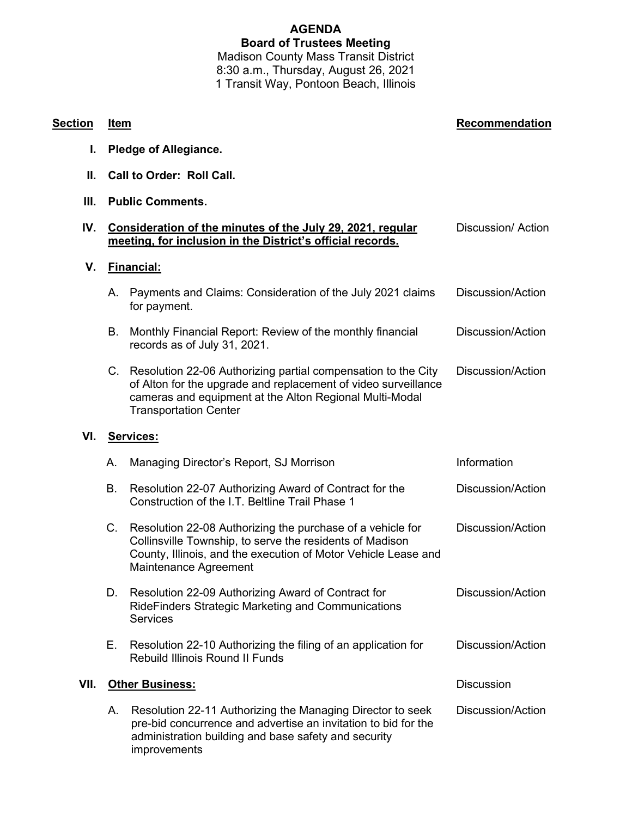# **AGENDA Board of Trustees Meeting** Madison County Mass Transit District

8:30 a.m., Thursday, August 26, 2021 1 Transit Way, Pontoon Beach, Illinois

#### **Section Item Recommendation**

- **I. Pledge of Allegiance.**
- **II. Call to Order: Roll Call.**
- **III. Public Comments.**

## **IV. Consideration of the minutes of the July 29, 2021, regular meeting, for inclusion in the District's official records.** Discussion/ Action **V. Financial:** A. Payments and Claims: Consideration of the July 2021 claims for payment. Discussion/Action B. Monthly Financial Report: Review of the monthly financial records as of July 31, 2021. Discussion/Action C. Resolution 22-06 Authorizing partial compensation to the City of Alton for the upgrade and replacement of video surveillance cameras and equipment at the Alton Regional Multi-Modal Transportation Center Discussion/Action **VI. Services:** A. Managing Director's Report, SJ Morrison **Information** Information B. Resolution 22-07 Authorizing Award of Contract for the Construction of the I.T. Beltline Trail Phase 1 Discussion/Action C. Resolution 22-08 Authorizing the purchase of a vehicle for Collinsville Township, to serve the residents of Madison County, Illinois, and the execution of Motor Vehicle Lease and Maintenance Agreement Discussion/Action D. Resolution 22-09 Authorizing Award of Contract for RideFinders Strategic Marketing and Communications **Services** Discussion/Action E. Resolution 22-10 Authorizing the filing of an application for Rebuild Illinois Round II Funds Discussion/Action **VII.** Other Business: **Discussion** Discussion A. Resolution 22-11 Authorizing the Managing Director to seek pre-bid concurrence and advertise an invitation to bid for the administration building and base safety and security improvements Discussion/Action